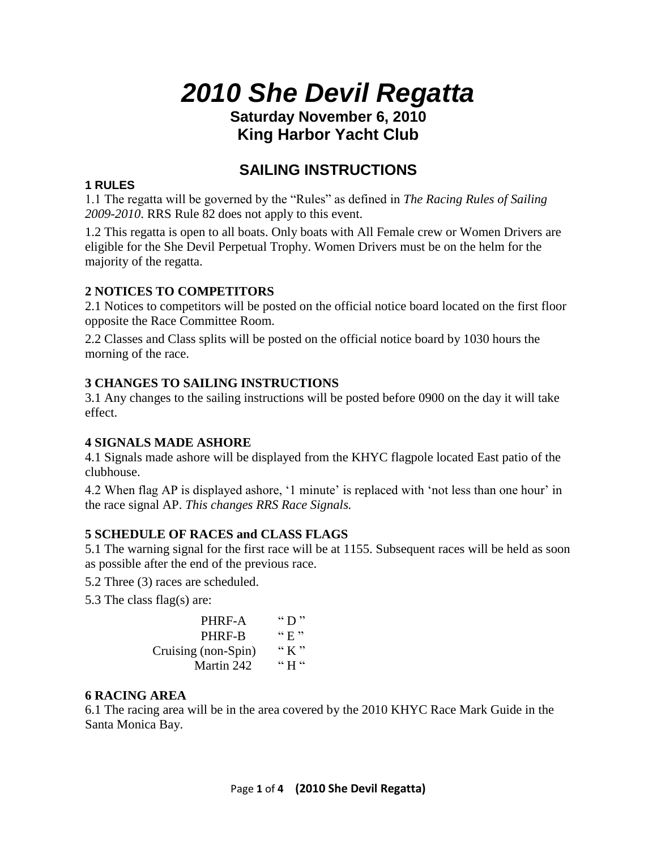*2010 She Devil Regatta*

**Saturday November 6, 2010 King Harbor Yacht Club**

# **SAILING INSTRUCTIONS**

#### **1 RULES**

1.1 The regatta will be governed by the "Rules" as defined in *The Racing Rules of Sailing 2009-2010*. RRS Rule 82 does not apply to this event.

1.2 This regatta is open to all boats. Only boats with All Female crew or Women Drivers are eligible for the She Devil Perpetual Trophy. Women Drivers must be on the helm for the majority of the regatta.

# **2 NOTICES TO COMPETITORS**

2.1 Notices to competitors will be posted on the official notice board located on the first floor opposite the Race Committee Room.

2.2 Classes and Class splits will be posted on the official notice board by 1030 hours the morning of the race.

# **3 CHANGES TO SAILING INSTRUCTIONS**

3.1 Any changes to the sailing instructions will be posted before 0900 on the day it will take effect.

# **4 SIGNALS MADE ASHORE**

4.1 Signals made ashore will be displayed from the KHYC flagpole located East patio of the clubhouse.

4.2 When flag AP is displayed ashore, "1 minute" is replaced with "not less than one hour" in the race signal AP. *This changes RRS Race Signals.*

# **5 SCHEDULE OF RACES and CLASS FLAGS**

5.1 The warning signal for the first race will be at 1155. Subsequent races will be held as soon as possible after the end of the previous race.

5.2 Three (3) races are scheduled.

5.3 The class flag(s) are:

| PHRF-A              | $\lq\lq$ D <sup>"</sup>                                                                                                                                                                                                        |
|---------------------|--------------------------------------------------------------------------------------------------------------------------------------------------------------------------------------------------------------------------------|
| PHRF-B              | $\lq\lq$ $\lq$ $\lq$ $\lq$ $\lq$ $\lq$ $\lq$ $\lq$ $\lq$ $\lq$ $\lq$ $\lq$ $\lq$ $\lq$ $\lq$ $\lq$ $\lq$ $\lq$ $\lq$ $\lq$ $\lq$ $\lq$ $\lq$ $\lq$ $\lq$ $\lq$ $\lq$ $\lq$ $\lq$ $\lq$ $\lq$ $\lq$ $\lq$ $\lq$ $\lq$ $\lq$ $\$ |
| Cruising (non-Spin) | $\lq K$ "                                                                                                                                                                                                                      |
| Martin 242          | $\cdot$ H $\cdot$ $\cdot$                                                                                                                                                                                                      |

# **6 RACING AREA**

6.1 The racing area will be in the area covered by the 2010 KHYC Race Mark Guide in the Santa Monica Bay.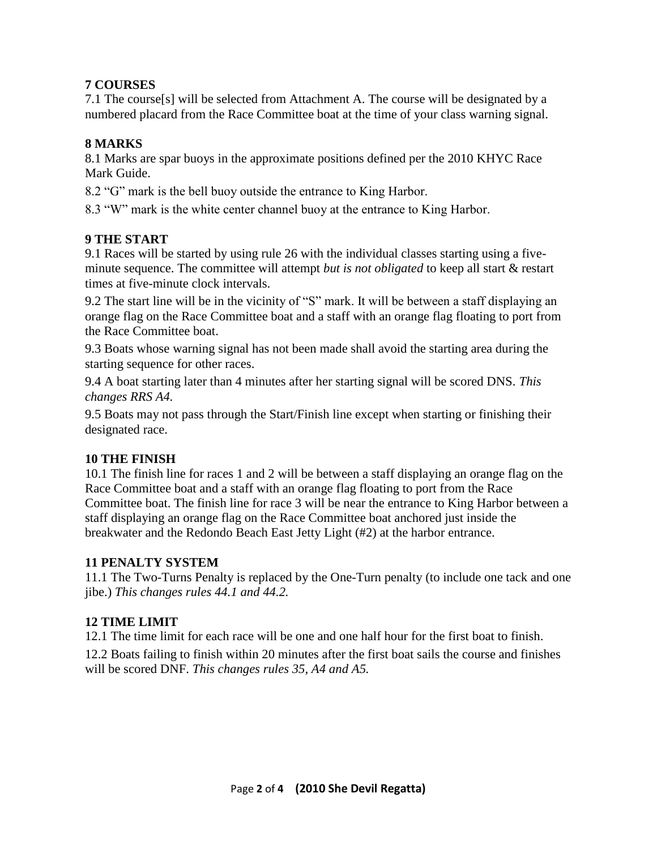#### **7 COURSES**

7.1 The course[s] will be selected from Attachment A. The course will be designated by a numbered placard from the Race Committee boat at the time of your class warning signal.

# **8 MARKS**

8.1 Marks are spar buoys in the approximate positions defined per the 2010 KHYC Race Mark Guide.

8.2 "G" mark is the bell buoy outside the entrance to King Harbor.

8.3 "W" mark is the white center channel buoy at the entrance to King Harbor.

#### **9 THE START**

9.1 Races will be started by using rule 26 with the individual classes starting using a fiveminute sequence. The committee will attempt *but is not obligated* to keep all start & restart times at five-minute clock intervals.

9.2 The start line will be in the vicinity of "S" mark. It will be between a staff displaying an orange flag on the Race Committee boat and a staff with an orange flag floating to port from the Race Committee boat.

9.3 Boats whose warning signal has not been made shall avoid the starting area during the starting sequence for other races.

9.4 A boat starting later than 4 minutes after her starting signal will be scored DNS. *This changes RRS A4.*

9.5 Boats may not pass through the Start/Finish line except when starting or finishing their designated race.

# **10 THE FINISH**

10.1 The finish line for races 1 and 2 will be between a staff displaying an orange flag on the Race Committee boat and a staff with an orange flag floating to port from the Race Committee boat. The finish line for race 3 will be near the entrance to King Harbor between a staff displaying an orange flag on the Race Committee boat anchored just inside the breakwater and the Redondo Beach East Jetty Light (#2) at the harbor entrance.

# **11 PENALTY SYSTEM**

11.1 The Two-Turns Penalty is replaced by the One-Turn penalty (to include one tack and one jibe.) *This changes rules 44.1 and 44.2.*

# **12 TIME LIMIT**

12.1 The time limit for each race will be one and one half hour for the first boat to finish.

12.2 Boats failing to finish within 20 minutes after the first boat sails the course and finishes will be scored DNF. *This changes rules 35, A4 and A5.*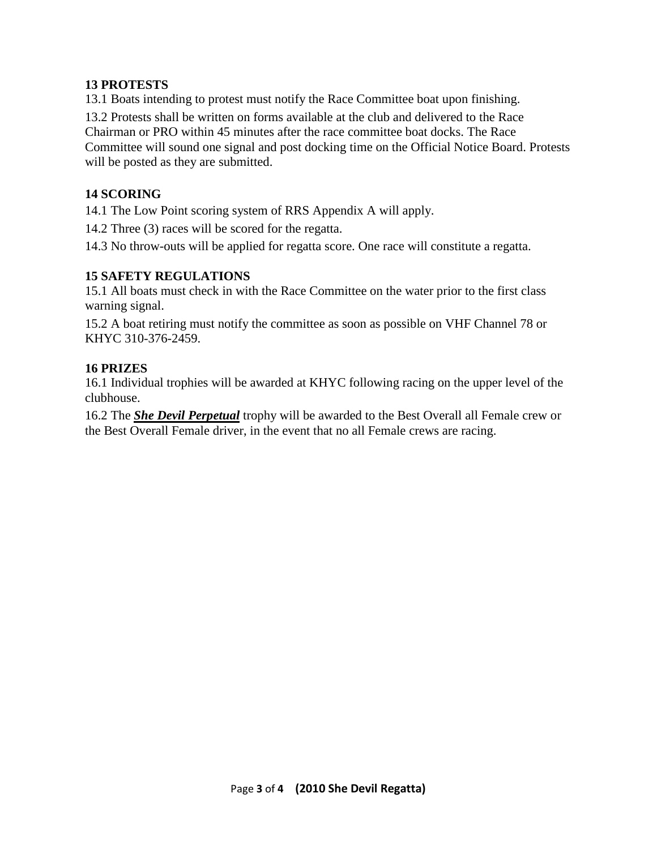# **13 PROTESTS**

13.1 Boats intending to protest must notify the Race Committee boat upon finishing.

13.2 Protests shall be written on forms available at the club and delivered to the Race Chairman or PRO within 45 minutes after the race committee boat docks. The Race Committee will sound one signal and post docking time on the Official Notice Board. Protests will be posted as they are submitted.

# **14 SCORING**

14.1 The Low Point scoring system of RRS Appendix A will apply.

14.2 Three (3) races will be scored for the regatta.

14.3 No throw-outs will be applied for regatta score. One race will constitute a regatta.

#### **15 SAFETY REGULATIONS**

15.1 All boats must check in with the Race Committee on the water prior to the first class warning signal.

15.2 A boat retiring must notify the committee as soon as possible on VHF Channel 78 or KHYC 310-376-2459.

#### **16 PRIZES**

16.1 Individual trophies will be awarded at KHYC following racing on the upper level of the clubhouse.

16.2 The *She Devil Perpetual* trophy will be awarded to the Best Overall all Female crew or the Best Overall Female driver, in the event that no all Female crews are racing.